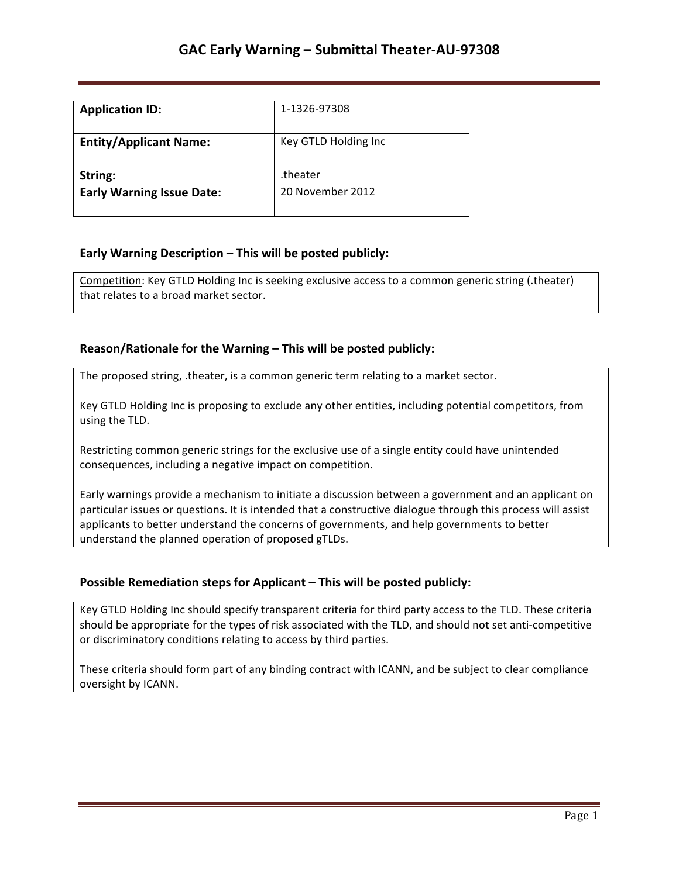| <b>Application ID:</b>           | 1-1326-97308         |
|----------------------------------|----------------------|
| <b>Entity/Applicant Name:</b>    | Key GTLD Holding Inc |
| String:                          | .theater             |
| <b>Early Warning Issue Date:</b> | 20 November 2012     |

## **Early Warning Description – This will be posted publicly:**

Competition: Key GTLD Holding Inc is seeking exclusive access to a common generic string (.theater) that relates to a broad market sector.

### **Reason/Rationale for the Warning – This will be posted publicly:**

The proposed string, .theater, is a common generic term relating to a market sector.

Key GTLD Holding Inc is proposing to exclude any other entities, including potential competitors, from using the TLD.

Restricting common generic strings for the exclusive use of a single entity could have unintended consequences, including a negative impact on competition.

Early warnings provide a mechanism to initiate a discussion between a government and an applicant on particular issues or questions. It is intended that a constructive dialogue through this process will assist applicants to better understand the concerns of governments, and help governments to better understand the planned operation of proposed gTLDs.

## **Possible Remediation steps for Applicant - This will be posted publicly:**

Key GTLD Holding Inc should specify transparent criteria for third party access to the TLD. These criteria should be appropriate for the types of risk associated with the TLD, and should not set anti-competitive or discriminatory conditions relating to access by third parties.

These criteria should form part of any binding contract with ICANN, and be subject to clear compliance oversight by ICANN.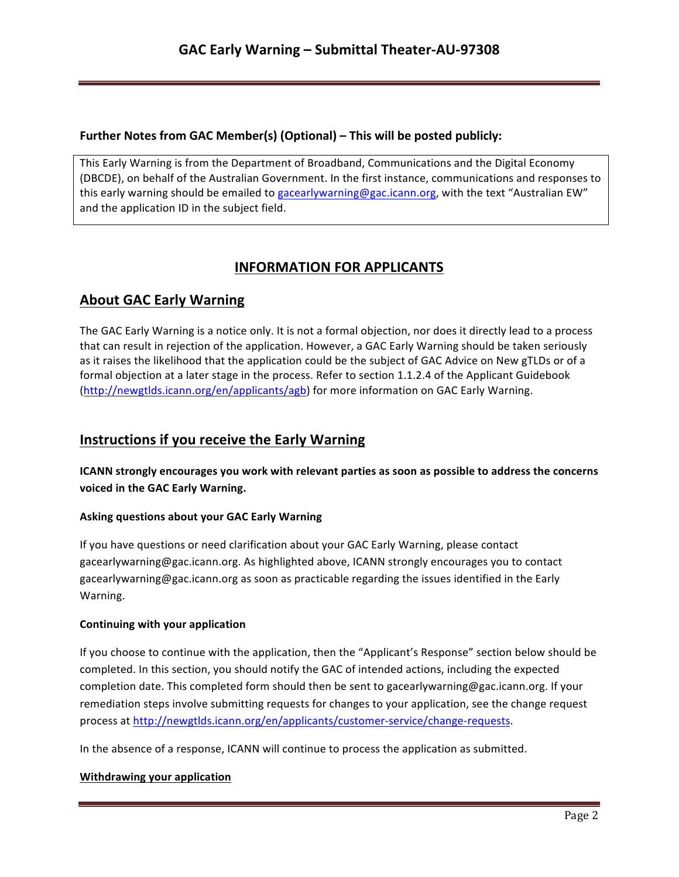## **Further Notes from GAC Member(s) (Optional) – This will be posted publicly:**

This Early Warning is from the Department of Broadband, Communications and the Digital Economy (DBCDE), on behalf of the Australian Government. In the first instance, communications and responses to this early warning should be emailed to gacearlywarning@gac.icann.org, with the text "Australian EW" and the application ID in the subject field.

# **INFORMATION FOR APPLICANTS**

# **About GAC Early Warning**

The GAC Early Warning is a notice only. It is not a formal objection, nor does it directly lead to a process that can result in rejection of the application. However, a GAC Early Warning should be taken seriously as it raises the likelihood that the application could be the subject of GAC Advice on New gTLDs or of a formal objection at a later stage in the process. Refer to section 1.1.2.4 of the Applicant Guidebook (http://newgtlds.icann.org/en/applicants/agb) for more information on GAC Early Warning.

## **Instructions if you receive the Early Warning**

**ICANN** strongly encourages you work with relevant parties as soon as possible to address the concerns voiced in the GAC Early Warning.

### **Asking questions about your GAC Early Warning**

If you have questions or need clarification about your GAC Early Warning, please contact gacearlywarning@gac.icann.org. As highlighted above, ICANN strongly encourages you to contact gacearlywarning@gac.icann.org as soon as practicable regarding the issues identified in the Early Warning. 

### **Continuing with your application**

If you choose to continue with the application, then the "Applicant's Response" section below should be completed. In this section, you should notify the GAC of intended actions, including the expected completion date. This completed form should then be sent to gacearlywarning@gac.icann.org. If your remediation steps involve submitting requests for changes to your application, see the change request process at http://newgtlds.icann.org/en/applicants/customer-service/change-requests.

In the absence of a response, ICANN will continue to process the application as submitted.

### **Withdrawing your application**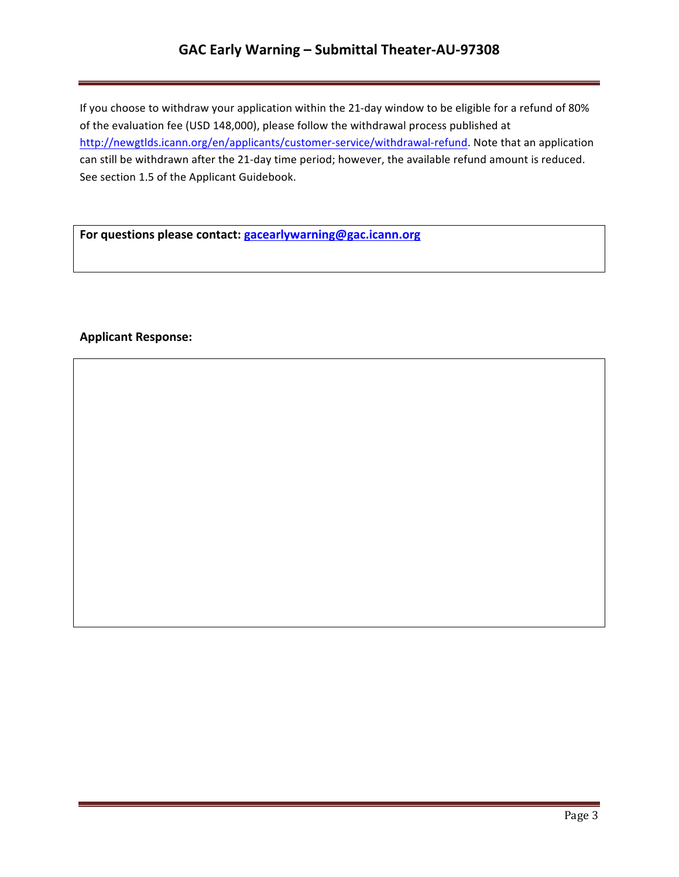# GAC Early Warning - Submittal Theater-AU-97308

If you choose to withdraw your application within the 21-day window to be eligible for a refund of 80% of the evaluation fee (USD 148,000), please follow the withdrawal process published at http://newgtlds.icann.org/en/applicants/customer-service/withdrawal-refund. Note that an application can still be withdrawn after the 21-day time period; however, the available refund amount is reduced. See section 1.5 of the Applicant Guidebook.

For questions please contact: **gacearlywarning@gac.icann.org** 

### **Applicant Response:**